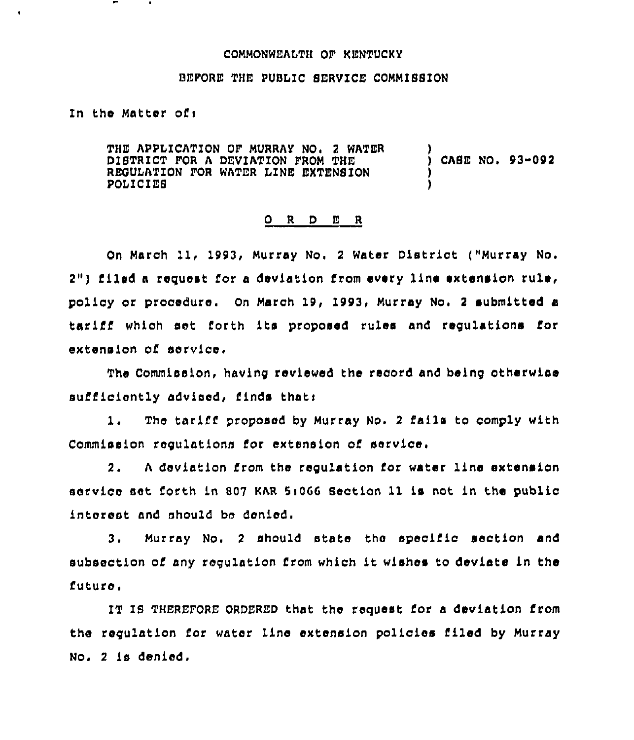## COMMONWEALTH OF KENTUCKY

## BEFORE THE PUBLIC SERVICE COMMISSION

## In the Matter ofi

THE APPLICATION OF MURRAY NO. 2 WATER DISTRICT FOR A DEVIATION FROM THE REBULATION FOR WATER LINE EXTENSION POLI CIEB ) ) CASE NO, 93-092 ) )

## 0 <sup>R</sup> <sup>D</sup> E <sup>R</sup>

On March 11, 1993, Murray No. 2 Water District ("Murray No.  $2"$ ) filed a request for a deviation from every line extension rule, policy or procedure. On March 19, 1993, Murray No, <sup>2</sup> submitted a tarlfl which aet, forth its proposed ru1es and regulations for extension of service.

The Commission, having reviewed the record and being otherwise sufficiently advised, finds that:

1. The tariff proposed by Murray No. <sup>2</sup> fails to comply with Commission regulatlona for extension of service,

2. <sup>A</sup> deviation from the regulation for water line extension service set forth in 807 KAR 5:066 Section 11 is not in the public interest and should be denied.

3. Murray No. <sup>2</sup> should state the specific section and subsection of any reguiation from which it wishes to deviate ln the futuro.

IT IS THEREFORE ORDERED that the request for a deviation from the requlatlon for water line extension policies filed by Murray No. <sup>2</sup> is denied,